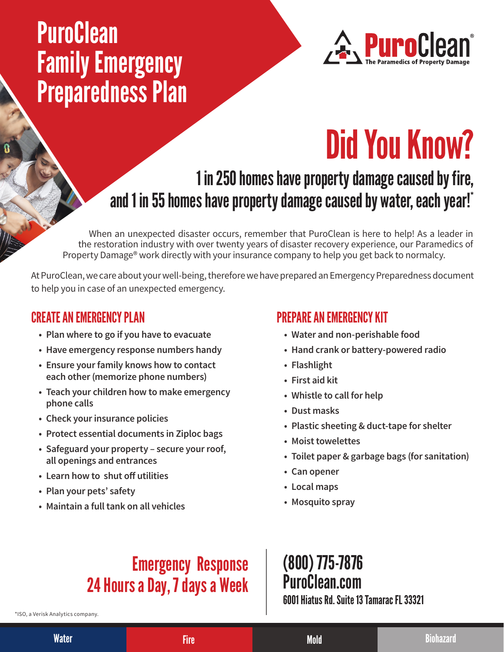# **PuroClean** Family Emergency Preparedness Plan



# Did You Know?

### 1 in 250 homes have property damage caused by fire, and 1 in 55 homes have property damage caused by water, each year!\*

When an unexpected disaster occurs, remember that PuroClean is here to help! As a leader in the restoration industry with over twenty years of disaster recovery experience, our Paramedics of Property Damage® work directly with your insurance company to help you get back to normalcy.

At PuroClean, we care about your well-being, therefore we have prepared an Emergency Preparedness document to help you in case of an unexpected emergency.

#### CREATE AN EMERGENCY PLAN

- **• Plan where to go if you have to evacuate**
- **• Have emergency response numbers handy**
- **• Ensure your family knows how to contact each other (memorize phone numbers)**
- **• Teach your children how to make emergency phone calls**
- **• Check your insurance policies**
- **• Protect essential documents in Ziploc bags**
- **• Safeguard your property secure your roof, all openings and entrances**
- **• Learn how to shut off utilities**
- **• Plan your pets' safety**
- **• Maintain a full tank on all vehicles**

#### PREPARE AN EMERGENCY KIT

- **• Water and non-perishable food**
- **• Hand crank or battery-powered radio**
- **• Flashlight**
- **• First aid kit**
- **• Whistle to call for help**
- **• Dust masks**
- **• Plastic sheeting & duct-tape for shelter**
- **• Moist towelettes**
- **• Toilet paper & garbage bags (for sanitation)**
- **• Can opener**
- **• Local maps**
- **• Mosquito spray**

## Emergency Response 24 Hours a Day, 7 days a Week

\*ISO, a Verisk Analytics company.

#### (800) 775-7876 PuroClean.com 6001 Hiatus Rd. Suite 13 Tamarac FL 33321